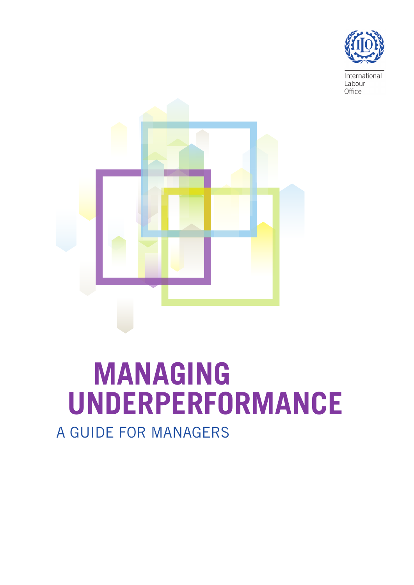

International Labour Office



# **MANAGING UNDERPERFORMANCE** A GUIDE FOR MANAGERS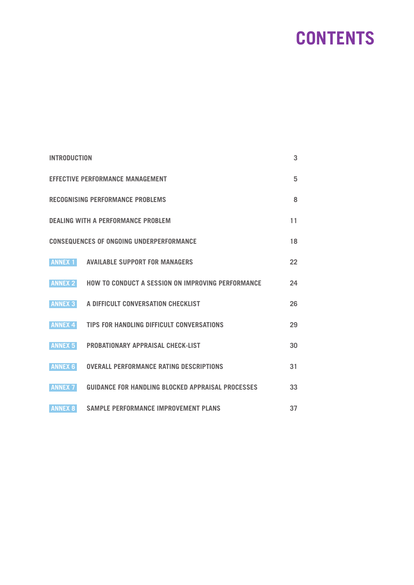# **CONTENTS**

| <b>INTRODUCTION</b>                                   |                                                   |    |
|-------------------------------------------------------|---------------------------------------------------|----|
| <b>EFFECTIVE PERFORMANCE MANAGEMENT</b><br>5          |                                                   |    |
| <b>RECOGNISING PERFORMANCE PROBLEMS</b><br>8          |                                                   |    |
| <b>DEALING WITH A PERFORMANCE PROBLEM</b><br>11       |                                                   |    |
| <b>CONSEQUENCES OF ONGOING UNDERPERFORMANCE</b><br>18 |                                                   |    |
| <b>ANNEX 1</b>                                        | <b>AVAILABLE SUPPORT FOR MANAGERS</b>             | 22 |
| <b>ANNEX 2</b>                                        | HOW TO CONDUCT A SESSION ON IMPROVING PERFORMANCE | 24 |
| <b>ANNEX 3</b>                                        | A DIFFICULT CONVERSATION CHECKLIST                | 26 |
| <b>ANNEX 4</b>                                        | TIPS FOR HANDLING DIFFICULT CONVERSATIONS         | 29 |
| <b>ANNEX 5</b>                                        | <b>PROBATIONARY APPRAISAL CHECK-LIST</b>          | 30 |
| <b>ANNEX 6</b>                                        | <b>OVERALL PERFORMANCE RATING DESCRIPTIONS</b>    | 31 |
| <b>ANNEX 7</b>                                        | GUIDANCE FOR HANDLING BLOCKED APPRAISAL PROCESSES | 33 |
| <b>ANNEX 8</b>                                        | <b>SAMPLE PERFORMANCE IMPROVEMENT PLANS</b>       | 37 |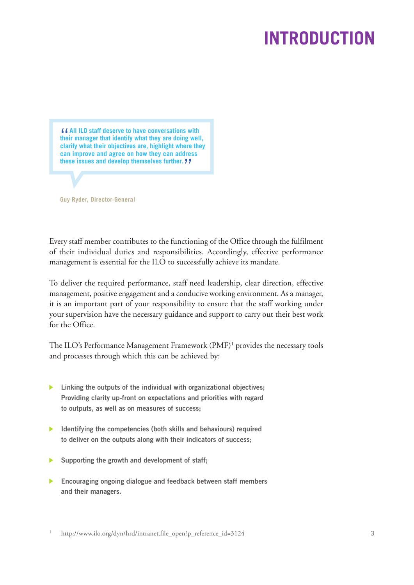# **INTRODUCTION**

<span id="page-2-0"></span>"**All ILO staff deserve to have conversations with their manager that identify what they are doing well, clarify what their objectives are, highlight where they can improve and agree on how they can address these issues and develop themselves further.** "

**Guy Ryder, Director-General**

Every staff member contributes to the functioning of the Office through the fulfilment of their individual duties and responsibilities. Accordingly, effective performance management is essential for the ILO to successfully achieve its mandate.

To deliver the required performance, staff need leadership, clear direction, effective management, positive engagement and a conducive working environment. As a manager, it is an important part of your responsibility to ensure that the staff working under your supervision have the necessary guidance and support to carry out their best work for the Office.

The ILO's Performance Management Framework (PMF) <sup>1</sup> provides the necessary tools and processes through which this can be achieved by:

- **Linking the outputs of the individual with organizational objectives; Providing clarity up-front on expectations and priorities with regard to outputs, as well as on measures of success;**
- **Identifying the competencies (both skills and behaviours) required to deliver on the outputs along with their indicators of success;**
- **Supporting the growth and development of staff;**
- **Encouraging ongoing dialogue and feedback between staff members and their managers.**

1 http://www.ilo.org/dyn/hrd/intranet.file\_open?p\_reference\_id=3124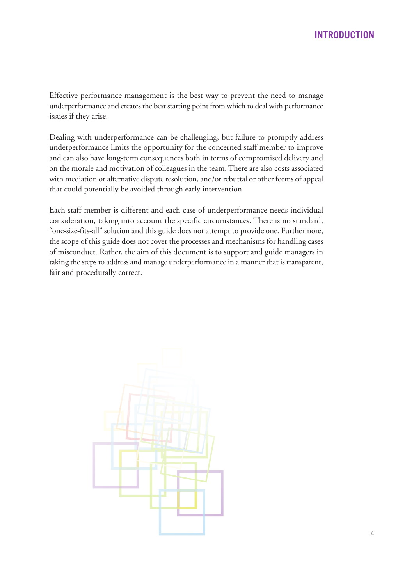Effective performance management is the best way to prevent the need to manage underperformance and creates the best starting point from which to deal with performance issues if they arise.

Dealing with underperformance can be challenging, but failure to promptly address underperformance limits the opportunity for the concerned staff member to improve and can also have long-term consequences both in terms of compromised delivery and on the morale and motivation of colleagues in the team. There are also costs associated with mediation or alternative dispute resolution, and/or rebuttal or other forms of appeal that could potentially be avoided through early intervention.

Each staff member is different and each case of underperformance needs individual consideration, taking into account the specific circumstances. There is no standard, "one-size-fits-all" solution and this guide does not attempt to provide one. Furthermore, the scope of this guide does not cover the processes and mechanisms for handling cases of misconduct. Rather, the aim of this document is to support and guide managers in taking the steps to address and manage underperformance in a manner that is transparent, fair and procedurally correct.

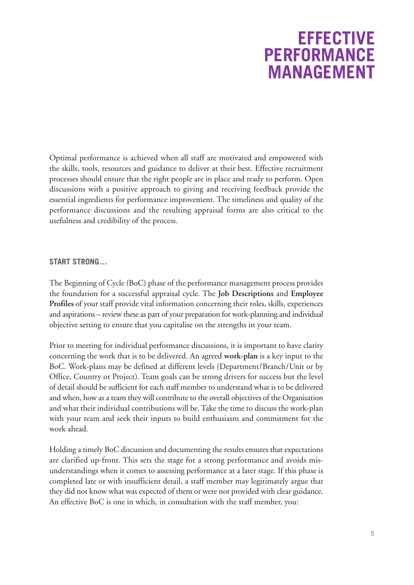### **EFFECTIVE PERFORMANCE MANAGEMENT**

<span id="page-4-0"></span>Optimal performance is achieved when all staff are motivated and empowered with the skills, tools, resources and guidance to deliver at their best. Effective recruitment processes should ensure that the right people are in place and ready to perform. Open discussions with a positive approach to giving and receiving feedback provide the essential ingredients for performance improvement. The timeliness and quality of the performance discussions and the resulting appraisal forms are also critical to the usefulness and credibility of the process.

### **START STRONG…**

The Beginning of Cycle (BoC) phase of the performance management process provides the foundation for a successful appraisal cycle. The **Job Descriptions** and **Employee Profiles** of your staff provide vital information concerning their roles, skills, experiences and aspirations – review these as part of your preparation for work-planning and individual objective setting to ensure that you capitalise on the strengths in your team.

Prior to meeting for individual performance discussions, it is important to have clarity concerning the work that is to be delivered. An agreed **work-plan** is a key input to the BoC. Work-plans may be defined at different levels (Department/Branch/Unit or by Office, Country or Project). Team goals can be strong drivers for success but the level of detail should be sufficient for each staff member to understand what is to be delivered and when, how as a team they will contribute to the overall objectives of the Organisation and what their individual contributions will be. Take the time to discuss the work-plan with your team and seek their inputs to build enthusiasm and commitment for the work ahead.

Holding a timely BoC discussion and documenting the results ensures that expectations are clarified up-front. This sets the stage for a strong performance and avoids misunderstandings when it comes to assessing performance at a later stage. If this phase is completed late or with insufficient detail, a staff member may legitimately argue that they did not know what was expected of them or were not provided with clear guidance. An effective BoC is one in which, in consultation with the staff member, you: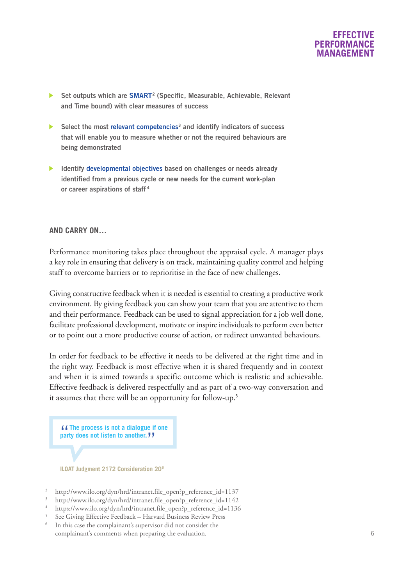

- **Set outputs which are SMART2 (Specific, Measurable, Achievable, Relevant and Time bound) with clear measures of success**
- **Select the most relevant competencies3 and identify indicators of success that will enable you to measure whether or not the required behaviours are being demonstrated**
- **Identify developmental objectives based on challenges or needs already identified from a previous cycle or new needs for the current work-plan or career aspirations of staff <sup>4</sup>**

#### **AND CARRY ON…**

Performance monitoring takes place throughout the appraisal cycle. A manager plays a key role in ensuring that delivery is on track, maintaining quality control and helping staff to overcome barriers or to reprioritise in the face of new challenges.

Giving constructive feedback when it is needed is essential to creating a productive work environment. By giving feedback you can show your team that you are attentiveto them and their performance. Feedback can be used to signal appreciation for a job well done, facilitate professional development, motivate or inspire individuals to perform even better or to point out a more productive course of action, or redirect unwanted behaviours.

In order for feedback to be effective it needs to be delivered at the right time and in the right way. Feedback is most effective when it is shared frequently and in context and when it is aimed towards a specific outcome which is realistic and achievable. Effective feedback is delivered respectfully and as part of a two-way conversation and it assumes that there will be an opportunity for follow-up. 5

"**The process is not <sup>a</sup> dialogue if one party does not listen to another.** "

**ILOAT Judgment 2172 Consideration 206**

- http://www.ilo.org/dyn/hrd/intranet.file\_open?p\_reference\_id=1137
- http://www.ilo.org/dyn/hrd/intranet.file\_open?p\_reference\_id=1142
- https://www.ilo.org/dyn/hrd/intranet.file\_open?p\_reference\_id=1136
- <sup>5</sup> See Giving Effective Feedback Harvard Business Review Press
- In this case the complainant's supervisor did not consider the complainant's comments when preparing the evaluation.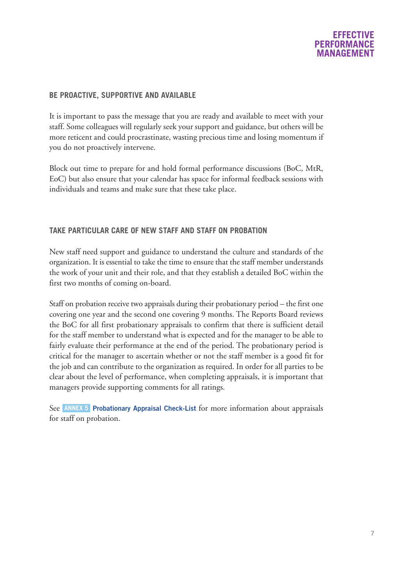### **EFFECTIVE PERFORMAN MANAGEME**

### **BE PROACTIVE, SUPPORTIVE AND AVAILABLE**

It is important to pass the message that you are ready and available to meet with your staff. Some colleagues will regularly seek your support and guidance, but others will be more reticent and could procrastinate, wasting precious time and losing momentum if you do not proactively intervene.

Block out time to prepare for and hold formal performance discussions (BoC, MtR, EoC) but also ensure that your calendar has space for informal feedback sessions with individuals and teams and make sure that these take place.

### **TAKE PARTICULAR CARE OF NEW STAFF AND STAFF ON PROBATION**

New staff need support and guidance to understand the culture and standards of the organization. It is essential to take the time to ensure that the staff member understands the work of your unit and their role, and that they establish a detailed BoC within the first two months of coming on-board.

Staff on probation receive two appraisals during their probationary period – the first one covering one year and the second one covering 9 months. The Reports Board reviews the BoC for all first probationary appraisals to confirm that there is sufficient detail for the staff member to understand what is expected and for the manager to be able to fairly evaluate their performance at the end of the period. The probationary period is critical for the manager to ascertain whether or not the staff member is a good fit for the job and can contribute to the organization as required. In order for all parties to be clear about the level of performance, when completing appraisals, it is important that managers provide supporting comments for all ratings.

See **ANNEX 5** [Probationary](#page-29-0) Appraisal Check-List for more information about appraisals for staff on probation.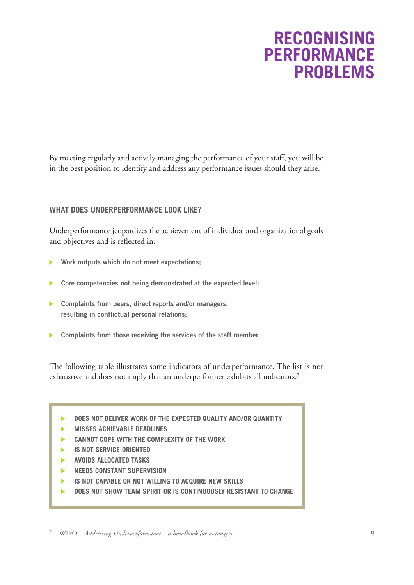### **RECOGNISING PERFORMANCE PROBLEMS**

<span id="page-7-0"></span>By meeting regularly and actively managing the performance of your staff, you will be in the best position to identify and address any performance issues should they arise.

### **WHAT DOES UNDERPERFORMANCE LOOK LIKE?**

Underperformance jeopardizes the achievement of individual and organizational goals and objectives and is reflected in:

- **Work outputs which do not meet expectations;**
- **Core competencies not being demonstrated at the expected level;** ь
- **Complaints from peers, direct reports and/or managers, resulting in conflictual personal relations;**
- **Complaints from those receiving the services of the staff member.**

The following table illustrates some indicators of underperformance. The list is not exhaustive and does not imply that an underperformer exhibits all indicators. 7

- **DOES NOT DELIVER WORK OF THE EXPECTED QUALITY AND/OR QUANTITY** ь
- ь **MISSES ACHIEVABLE DEADLINES**
- **CANNOT COPE WITH THE COMPLEXITY OF THE WORK**
- **IS NOT SERVICE-ORIENTED** b.
- ь **AVOIDS ALLOCATED TASKS**
- **NEEDS CONSTANT SUPERVISION** ь
- **IS NOT CAPABLE OR NOT WILLING TO ACQUIRE NEW SKILLS** ь
- **DOES NOT SHOW TEAM SPIRIT OR IS CONTINUOUSLY RESISTANT TO CHANGE** ь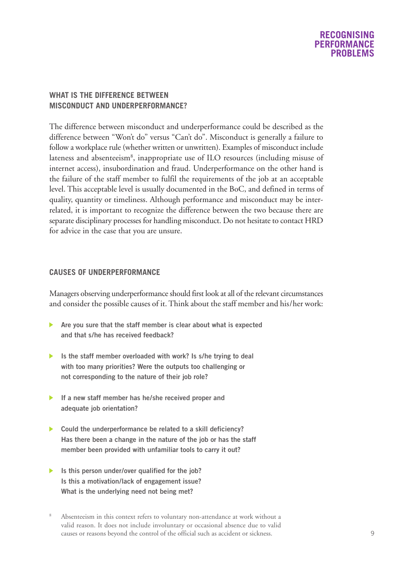### **RECOGNISING PERFORMANCE PROBLEMS**

### **WHAT IS THE DIFFERENCE BETWEEN MISCONDUCT AND UNDERPERFORMANCE?**

The difference between misconduct and underperformance could be described as the difference between "Won't do" versus "Can't do". Misconduct is generally a failure to follow a workplace rule (whether written or unwritten). Examples of misconduct include lateness and absenteeism<sup>8</sup>, inappropriate use of ILO resources (including misuse of internet access), insubordination and fraud. Underperformance on the other hand is the failure of the staff member to fulfil the requirements of the job at an acceptable level. This acceptable level is usually documented in the BoC, and defined in terms of quality, quantity or timeliness. Although performance and misconduct may be interrelated, it is important to recognize the difference between the two because there are separate disciplinary processes for handling misconduct. Do not hesitate to contact HRD for advice in the case that you are unsure.

### **CAUSES OF UNDERPERFORMANCE**

Managers observing underperformance should first look at all of the relevant circumstances and consider the possible causes of it. Think about the staff member and his/her work:

- **Are you sure that the staff member is clear about what is expected and that s/he has received feedback?**
- **Is the staff member overloaded with work? Is s/he trying to deal with too many priorities? Were the outputs too challenging or not corresponding to the nature of their job role?**
- **If a new staff member has he/she received proper and adequate job orientation?**
- **Could the underperformance be related to a skill deficiency? Has there been a change in the nature of the job or has the staff member been provided with unfamiliar tools to carry it out?**
- **Is this person under/over qualified for the job? Is this a motivation/lack of engagement issue? What is the underlying need not being met?**
- Absenteeism in this context refers to voluntary non-attendance at work without a valid reason. It does not include involuntary or occasional absence due to valid causes or reasons beyond the control of the official such as accident or sickness.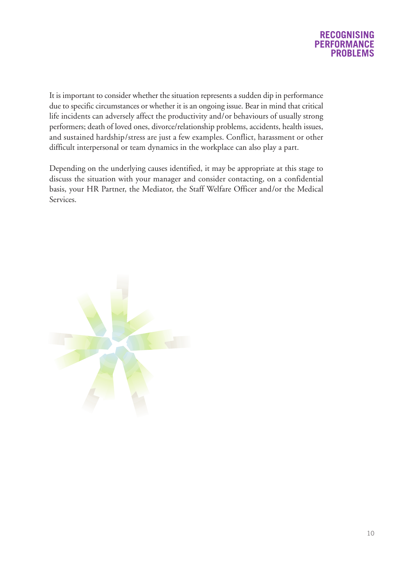

It is important to consider whether the situation represents a sudden dip in performance due to specific circumstances or whether it is an ongoing issue. Bear in mind that critical life incidents can adversely affect the productivity and/or behaviours of usually strong performers; death of loved ones, divorce/relationship problems, accidents, health issues, and sustained hardship/stress are just a few examples. Conflict, harassment or other difficult interpersonal or team dynamics in the workplace can also play a part.

Depending on the underlying causes identified, it may be appropriate at this stage to discuss the situation with your manager and consider contacting, on a confidential basis, your HR Partner, the Mediator, the Staff Welfare Officer and/or the Medical Services.

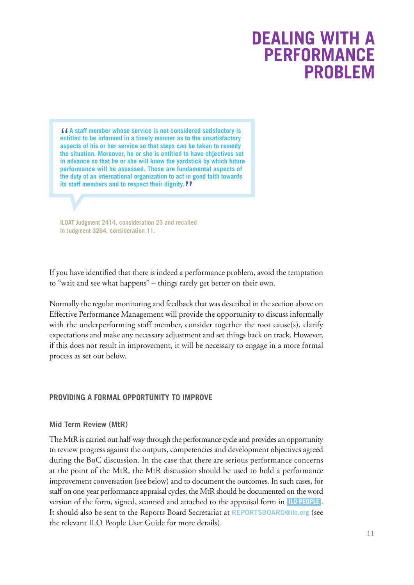### **DEALING WITH A PERFORMANCE PROBLEM**

<span id="page-10-0"></span>*f A* a staff member whose service is not considered satisfactory is<br>entitled to be informed in a timely manner as to the unsatisfactory<br>aspects of his or ber service so that steps can be taken to remody **aspects of his or her service so that steps can be taken to remedy the situation. Moreover, he or she is entitled to have objectives set in advance so that he or she will know the yardstick by which future performance will be assessed. These are fundamental aspects of the duty of an international organization to act in good faith towards its staff members and to respect their dignity.** "

**ILOAT Judgment 2414, consideration 23 and recalled in Judgment 3264, consideration 11.**

If you have identified that there is indeed a performance problem, avoid the temptation to "wait and see what happens" – things rarely get better on their own.

Normally the regular monitoring and feedback that was described in the section above on Effective Performance Management will provide the opportunity to discuss informally with the underperforming staff member, consider together the root cause(s), clarify expectations and make any necessary adjustment and set things back on track. However, if this does not result in improvement, it will be necessary to engage in a more formal process as set out below.

### **PROVIDING A FORMAL OPPORTUNITY TO IMPROVE**

### **Mid Term Review (MtR)**

The MtRis carried out half-way through the performance cycle and provides an opportunity to review progress against the outputs, competencies and development objectives agreed during the BoC discussion. In the case that there are serious performance concerns at the point of the MtR, the MtR discussion should be used to hold a performance improvement conversation (see below) and to document the outcomes. In such cases, for staff on one-year performance appraisal cycles, the MtR should be documented on the word version of the form, signed, scanned and attached to the appraisal form in **ILO [PEOPLE](https://performancemanager5.successfactors.eu/login?company=ILO)** . It should also be sent to the Reports Board Secretariat at **[REPORTSBOARD@ilo.org](mailto:REPORTSBOARD@ilo.org)** (see the relevant ILO People User Guide for more details).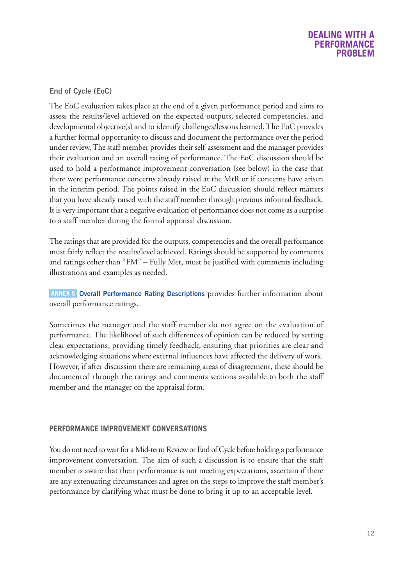### **DEALING WITH A PERFORMANCE PROBLEM**

### **End of Cycle (EoC)**

The EoC evaluation takes place at the end of a given performance period and aims to assess the results/level achieved on the expected outputs, selected competencies, and developmental objective(s) and to identify challenges/lessons learned.The EoC provides a further formal opportunity to discuss and document the performance over the period under review.The staff member provides their self-assessment and the manager provides their evaluation and an overall rating of performance. The EoC discussion should be used to hold a performance improvement conversation (see below) in the case that there were performance concerns already raised at the MtR or if concerns have arisen in the interim period. The points raised in the EoC discussion should reflect matters that you have already raised with the staff member through previous informal feedback. It is very important that a negative evaluation of performance does not come as a surprise to a staff member during the formal appraisal discussion.

The ratings that are provided for the outputs, competencies and the overall performance must fairly reflect the results/level achieved. Ratings should be supported by comments and ratings other than "FM" – Fully Met, must be justified with comments including illustrations and examples as needed.

**Overall [Performance](#page-30-0) Rating Descriptions** provides further information about **ANNEX 6** overall performance ratings.

Sometimes the manager and the staff member do not agree on the evaluation of performance. The likelihood of such differences of opinion can be reduced by setting clear expectations, providing timely feedback, ensuring that priorities are clear and acknowledging situations where external influences have affected the delivery of work. However, if after discussion there are remaining areas of disagreement, these should be documented through the ratings and comments sections available to both the staff member and the manager on the appraisal form.

### **PERFORMANCE IMPROVEMENT CONVERSATIONS**

You do not need to wait for a Mid-term Review or End of Cycle before holding a performance improvement conversation. The aim of such a discussion is to ensure that the staff member is aware that their performance is not meeting expectations, ascertain if there are any extenuating circumstances and agree on the steps to improve the staff member's performance by clarifying what must be done to bring it up to an acceptable level.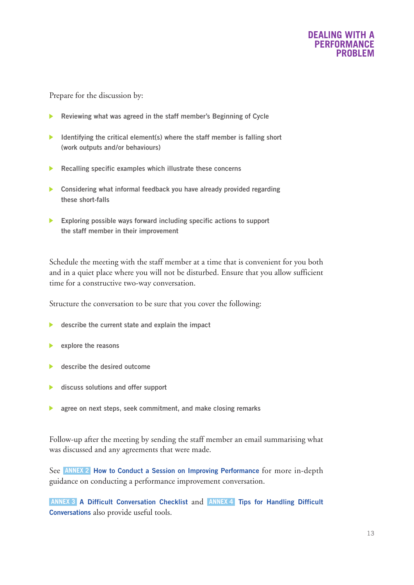

Prepare for the discussion by:

- **Reviewing what was agreed in the staff member's Beginning of Cycle**
- **Identifying the critical element(s) where the staff member is falling short (work outputs and/or behaviours)**
- **Recalling specific examples which illustrate these concerns**
- **Considering what informal feedback you have already provided regarding these short-falls**
- **Exploring possible ways forward including specific actions to support the staff member in their improvement**

Schedule the meeting with the staff member at a time that is convenient for you both and in a quiet place where you will not be disturbed. Ensure that you allow sufficient time for a constructive two-way conversation.

Structure the conversation to be sure that you cover the following:

- **describe the current state and explain the impact**
- **explore the reasons**
- **describe the desired outcome**
- **discuss solutions and offer support**
- **agree on next steps, seek commitment, and make closing remarks**  $\blacktriangleright$

Follow-up after the meeting by sending the staff member an email summarising what was discussed and any agreements that were made.

See **How to Conduct a Session on Improving [Performance](#page-23-0)** for more in-depth **ANNEX 2** guidance on conducting a performance improvement conversation.

**ANNEX 3 A Difficult [Conversation](#page-25-0) Checklist and <b>ANNEX 4 Tips for [Handling](#page-28-0) Difficult [Conversations](#page-28-0)** also provide useful tools.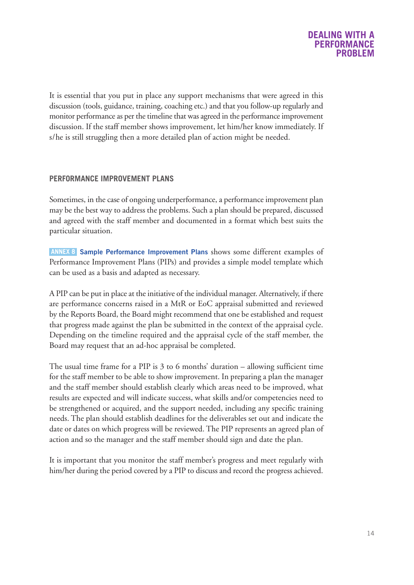

It is essential that you put in place any support mechanisms that were agreed in this discussion (tools, guidance, training, coaching etc.) and that you follow-up regularly and monitor performance as per the timeline that was agreed in the performance improvement discussion. If the staff member shows improvement, let him/her know immediately. If s/he is still struggling then a more detailed plan of action might be needed.

### **PERFORMANCE IMPROVEMENT PLANS**

Sometimes, in the case of ongoing underperformance, a performance improvement plan may be the best way to address the problems. Such a plan should be prepared, discussed and agreed with the staff member and documented in a format which best suits the particular situation.

**Sample Performance [Improvement](#page-36-0) Plans** shows some different examples of **ANNEX 8** Performance Improvement Plans (PIPs) and provides a simple model template which can be used as a basis and adapted as necessary.

A PIP can be put in place at the initiative of the individual manager. Alternatively, if there are performance concerns raised in a MtR or EoC appraisal submitted and reviewed by the Reports Board, the Board might recommend that one be established and request that progress made against the plan be submitted in the context of the appraisal cycle. Depending on the timeline required and the appraisal cycle of the staff member, the Board may request that an ad-hoc appraisal be completed.

The usual time frame for a PIP is 3 to 6 months' duration – allowing sufficient time for the staff member to be able to show improvement. In preparing a plan the manager and the staff member should establish clearly which areas need to be improved, what results are expected and will indicate success, what skills and/or competencies need to be strengthened or acquired, and the support needed, including any specific training needs. The plan should establish deadlines for the deliverables set out and indicate the date or dates on which progress will be reviewed. The PIP represents an agreed plan of action and so the manager and the staff member should sign and date the plan.

It is important that you monitor the staff member's progress and meet regularly with him/her during the period covered by a PIP to discuss and record the progress achieved.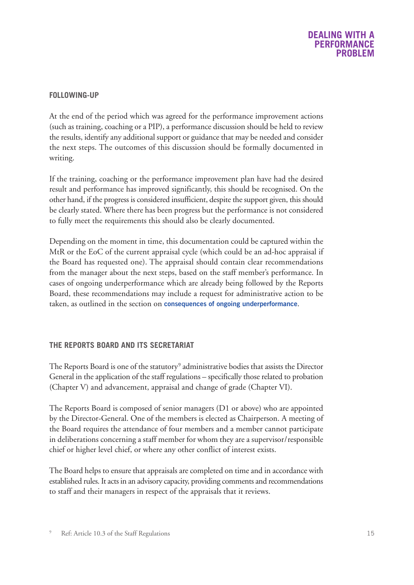### **DEALING WITH A PERFORMANCE PROBLEM**

### **FOLLOWING-UP**

At the end of the period which was agreed for the performance improvement actions (such as training, coaching or a PIP), a performance discussion should be held to review the results, identify any additional support or guidance that may be needed and consider the next steps. The outcomes of this discussion should be formally documented in writing.

If the training, coaching or the performance improvement plan have had the desired result and performance has improved significantly, this should be recognised. On the other hand, if the progress is considered insufficient, despite the support given, this should be clearly stated. Where there has been progress but the performance is not considered to fully meet the requirements this should also be clearly documented.

Depending on the moment in time, this documentation could be captured within the MtR or the EoC of the current appraisal cycle (which could be an ad-hoc appraisal if the Board has requested one). The appraisal should contain clear recommendations from the manager about the next steps, based on the staff member's performance. In cases of ongoing underperformance which are already being followed by the Reports Board, these recommendations may include a request for administrative action to be taken, as outlined in the section on **consequences of ongoing [underperformance](#page-17-0)**.

### **THE REPORTS BOARD AND ITS SECRETARIAT**

The Reports Board is one of the statutory<sup>9</sup> administrative bodies that assists the Director General in the application of the staff regulations – specifically those related to probation (Chapter V) and advancement, appraisal and change of grade (Chapter VI).

The Reports Board is composed of senior managers (D1 or above) who are appointed by the Director-General. One of the members is elected as Chairperson. A meeting of the Board requires the attendance of four members and a member cannot participate in deliberations concerning a staff member for whom they are a supervisor/responsible chief or higher level chief, or where any other conflict of interest exists.

The Board helps to ensure that appraisals are completed on time and in accordance with established rules. It acts in an advisory capacity, providing comments and recommendations to staff and their managers in respect of the appraisals that it reviews.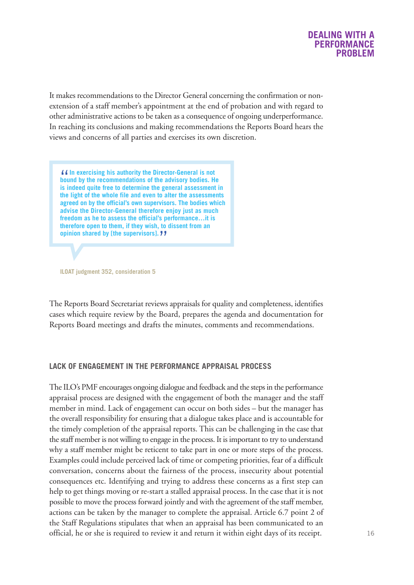

It makes recommendations to the Director General concerning the confirmation or nonextension of a staff member's appointment at the end of probation and with regard to other administrative actions to betaken as a consequence of ongoing underperformance. In reaching its conclusions and making recommendations the Reports Board hears the views and concerns of all parties and exercises its own discretion.

If In exercising his authority the Director-General is not<br>bound by the recommendations of the advisory bodies. He<br>is indeed quite free to determine the general assessment **is indeed quite free to determine the general assessment in the light of the whole file and even to alter the assessments agreed on by the official's own supervisors. The bodies which advise the Director-General therefore enjoy just as much freedom as he to assess the official's performance…it is therefore open to them, if they wish, to dissent from an opinion shared by [the supervisors].** "

**ILOAT judgment 352, consideration 5**

The Reports Board Secretariat reviews appraisals for quality and completeness, identifies cases which require review by the Board, prepares the agenda and documentation for Reports Board meetings and drafts the minutes, comments and recommendations.

### **LACK OF ENGAGEMENT IN THE PERFORMANCE APPRAISAL PROCESS**

The ILO's PMF encourages ongoing dialogue and feedback and the steps in the performance appraisal process are designed with the engagement of both the manager and the staff member in mind. Lack of engagement can occur on both sides – but the manager has the overall responsibility for ensuring that a dialogue takes place and is accountable for the timely completion of the appraisal reports. This can be challenging in the case that the staff member is not willing to engage in the process. It is important to try to understand why a staff member might be reticent to take part in one or more steps of the process. Examples could include perceived lack of time or competing priorities, fear of a difficult conversation, concerns about the fairness of the process, insecurity about potential consequences etc. Identifying and trying to address these concerns as a first step can help to get things moving or re-start a stalled appraisal process. In the case that it is not possible to move the process forward jointly and with the agreement of the staff member, actions can be taken by the manager to complete the appraisal. Article 6.7 point 2 of the Staff Regulations stipulates that when an appraisal has been communicated to an official, he or she is required to review it and return it within eight days of its receipt.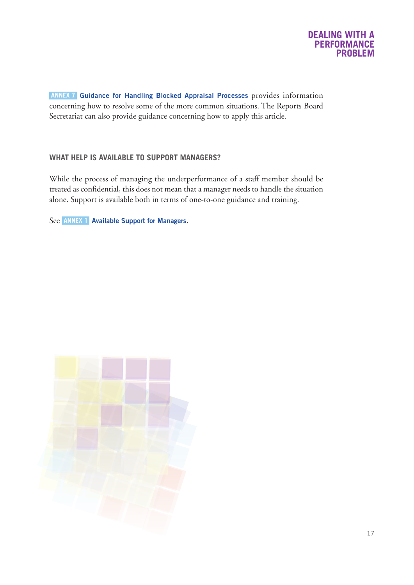

**Guidance for Handling Blocked Appraisal [Processes](#page-32-0)** provides information **ANNEX 7** concerning how to resolve some of the more common situations. The Reports Board Secretariat can also provide guidance concerning how to apply this article.

### **WHAT HELP IS AVAILABLE TO SUPPORT MANAGERS?**

While the process of managing the underperformance of a staff member should be treated as confidential, this does not mean that a manager needs to handle the situation alone. Support is available both in terms of one-to-one guidance and training.

See **ANNEX 1 Available Support for [Managers](#page-21-0)**.

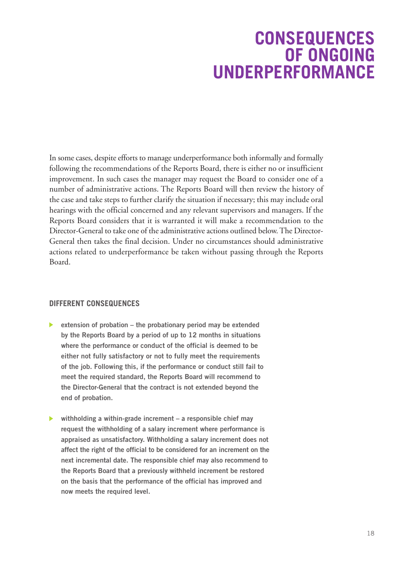### **CONSEQUENCES OF ONGOING UNDERPERFORMANCE**

<span id="page-17-0"></span>In some cases, despite efforts to manage underperformance both informally and formally following the recommendations of the Reports Board, there is either no or insufficient improvement. In such cases the manager may request the Board to consider one of a number of administrative actions. The Reports Board will then review the history of the case and take steps to further clarify the situation if necessary; this may include oral hearings with the official concerned and any relevant supervisors and managers. If the Reports Board considers that it is warranted it will make a recommendation to the Director-General to take one of the administrative actions outlined below.The Director-General then takes the final decision. Under no circumstances should administrative actions related to underperformance be taken without passing through the Reports Board.

### **DIFFERENT CONSEQUENCES**

- **extension of probation – the probationary period may be extended by the Reports Board by a period of up to 12 months in situations where the performance or conduct of the official is deemed to be either not fully satisfactory or not to fully meet the requirements of the job. Following this, if the performance or conduct still fail to meet the required standard, the Reports Board will recommend to the Director-General that the contract is not extended beyond the end of probation.**
- **withholding a within-grade increment – a responsible chief may request the withholding of a salary increment where performance is appraised as unsatisfactory. Withholding a salary increment does not affect the right of the official to be considered for an increment on the next incremental date. The responsible chief may also recommend to the Reports Board that a previously withheld increment be restored on the basis that the performance of the official has improved and now meets the required level.**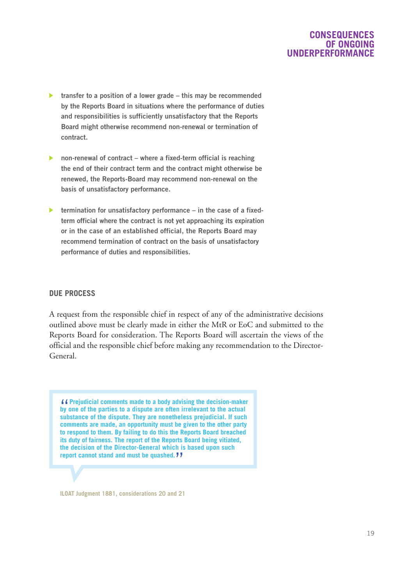### **CONSEQUENCES OF ONGOING UNDERPERFORMANCE**

- **transfer to a position of a lower grade – this may be recommended by the Reports Board in situations where the performance of duties and responsibilities is sufficiently unsatisfactory that the Reports Board might otherwise recommend non-renewal or termination of contract.**
- **non-renewal of contract – where a fixed-term official is reaching the end of their contract term and the contract might otherwise be renewed, the Reports-Board may recommend non-renewal on the basis of unsatisfactory performance.**
- **termination for unsatisfactory performance – in the case of a fixedterm official where the contract is not yet approaching its expiration or in the case of an established official, the Reports Board may recommend termination of contract on the basis of unsatisfactory performance of duties and responsibilities.**

### **DUE PROCESS**

A request from the responsible chief in respect of any of the administrative decisions outlined above must be clearly made in either the MtR or EoC and submitted to the Reports Board for consideration. The Reports Board will ascertain the views of the official and the responsible chief before making any recommendation to the Director-General.

"**Prejudicial comments made to <sup>a</sup> body advising the decision-maker by one of the parties to a dispute are often irrelevant to the actual substance of the dispute. They are nonetheless prejudicial. If such comments are made, an opportunity must be given to the other party to respond to them. By failing to do this the Reports Board breached its duty of fairness. The report of the Reports Board being vitiated, the decision of the Director-General which is based upon such report cannot stand and must be quashed.** "

**ILOAT Judgment 1881, considerations 20 and 21**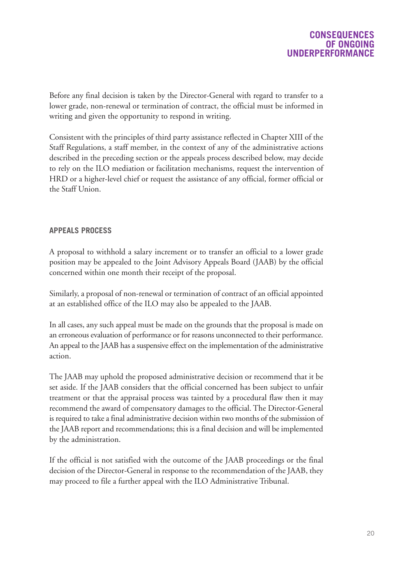Before any final decision is taken by the Director-General with regard to transfer to a lower grade, non-renewal or termination of contract, the official must be informed in writing and given the opportunity to respond in writing.

Consistent with the principles of third party assistance reflected in Chapter XIII of the Staff Regulations, a staff member, in the context of any of the administrative actions described in the preceding section or the appeals process described below, may decide to rely on the ILO mediation or facilitation mechanisms, request the intervention of HRD or a higher-level chief or request the assistance of any official, former official or the Staff Union.

### **APPEALS PROCESS**

A proposal to withhold a salary increment or to transfer an official to a lower grade position may be appealed to the Joint Advisory Appeals Board (JAAB) by the official concerned within one month their receipt of the proposal.

Similarly, a proposal of non-renewal or termination of contract of an official appointed at an established office of the ILO may also be appealed to the JAAB.

In all cases, any such appeal must be made on the grounds that the proposal is made on an erroneous evaluation of performance or for reasons unconnected to their performance. An appeal to the JAAB has a suspensive effect on the implementation of the administrative action.

The JAAB may uphold the proposed administrative decision or recommend that it be set aside. If the JAAB considers that the official concerned has been subject to unfair treatment or that the appraisal process was tainted by a procedural flaw then it may recommend the award of compensatory damages to the official. The Director-General is required to take a final administrative decision within two months of the submission of the JAAB report and recommendations; this is a final decision and will be implemented by the administration.

If the official is not satisfied with the outcome of the JAAB proceedings or the final decision of the Director-General in response to the recommendation of the JAAB, they may proceed to file a further appeal with the ILO Administrative Tribunal.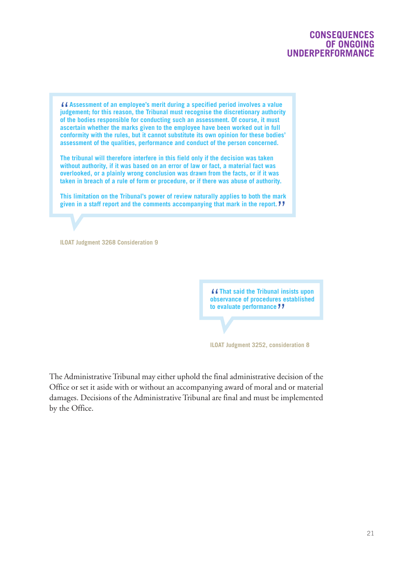### **CONSEQUENCES OF ONGOING UNDERPERFORMANCE**

If Assessment of an employee's merit during a specified period involves a value<br>judgement; for this reason, the Tribunal must recognise the discretionary authority<br>of the bodies responsible for conducting such an assessmen **of the bodies responsible for conducting such an assessment. Of course, it must ascertain whether the marks given to the employee have been worked out in full conformity with the rules, but it cannot substitute its own opinion for these bodies' assessment of the qualities, performance and conduct of the person concerned.**

**The tribunal will therefore interfere in this field only if the decision was taken without authority, if it was based on an error of law or fact, a material fact was overlooked, or a plainly wrong conclusion was drawn from the facts, or if it was taken in breach of a rule of form or procedure, or if there was abuse of authority.**

**This limitation on the Tribunal's power of review naturally applies to both the mark given in a staff report and the comments accompanying that mark in the report.** "

**ILOAT Judgment 3268 Consideration 9**

"**That said the Tribunal insists upon observance of procedures established to evaluate performance** "

**ILOAT Judgment 3252, consideration 8**

The Administrative Tribunal may either uphold the final administrative decision of the Office or set it aside with or without an accompanying award of moral and or material damages. Decisions of the Administrative Tribunal are final and must be implemented by the Office.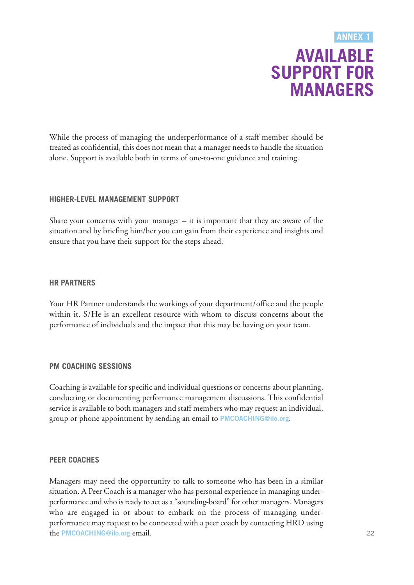### **AVAILABLE SUPPORT FOR MANAGERS ANNEX 1**

<span id="page-21-0"></span>While the process of managing the underperformance of a staff member should be treated as confidential, this does not mean that a manager needs to handle the situation alone. Support is available both in terms of one-to-one guidance and training.

### **HIGHER-LEVEL MANAGEMENT SUPPORT**

Share your concerns with your manager  $-$  it is important that they are aware of the situation and by briefing him/her you can gain from their experience and insights and ensure that you have their support for the steps ahead.

### **HR PARTNERS**

Your HR Partner understands the workings of your department/office and the people within it. S/He is an excellent resource with whom to discuss concerns about the performance of individuals and the impact that this may be having on your team.

### **PM COACHING SESSIONS**

Coaching is available for specific and individual questions or concerns about planning, conducting or documenting performance management discussions. This confidential service is available to both managers and staff members who may request an individual, group or phone appointment by sending an email to **[PMCOACHING@ilo.org](mailto:PMCOACHING@ilo.org)**.

### **PEER COACHES**

Managers may need the opportunity to talk to someone who has been in a similar situation. A Peer Coach is a manager who has personal experience in managing underperformance and who is ready to act as a "sounding-board" for other managers. Managers who are engaged in or about to embark on the process of managing underperformance may request to be connected with a peer coach by contacting HRD using the **[PMCOACHING@ilo.org](mailto:PMCOACHING@ilo.org)** email.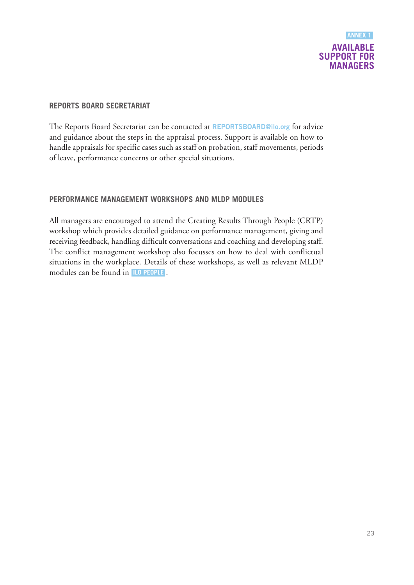

### **REPORTS BOARD SECRETARIAT**

The Reports Board Secretariat can be contacted at **[REPORTSBOARD@ilo.org](mailto:REPORTSBOARD@ilo.org)** for advice and guidance about the steps in the appraisal process. Support is available on how to handle appraisals for specific cases such as staff on probation, staff movements, periods of leave, performance concerns or other special situations.

### **PERFORMANCE MANAGEMENT WORKSHOPS AND MLDP MODULES**

All managers are encouraged to attend the Creating Results Through People (CRTP) workshop which provides detailed guidance on performance management, giving and receiving feedback, handling difficult conversations and coaching and developing staff. The conflict management workshop also focusses on how to deal with conflictual situations in the workplace. Details of these workshops, as well as relevant MLDP modules can be found in **ILO [PEOPLE](https://performancemanager5.successfactors.eu/login?company=ILO)** .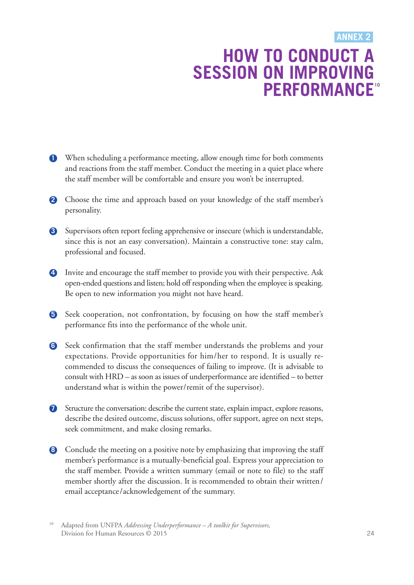### **HOW TO CONDUCT A SESSION ON IMPROVING PERFORMANCE 10ANNEX 2**

- <span id="page-23-0"></span>**1** When scheduling a performance meeting, allow enough time for both comments and reactions from the staff member. Conduct the meeting in a quiet place where the staff member will be comfortable and ensure you won't be interrupted.
- 2 Choose the time and approach based on your knowledge of the staff member's personality.
- **3** Supervisors often report feeling apprehensive or insecure (which is understandable, since this is not an easy conversation). Maintain a constructive tone: stay calm, professional and focused.
- **4** Invite and encourage the staff member to provide you with their perspective. Ask open-ended questions and listen; hold off responding when the employee is speaking. Be open to new information you might not have heard.
- **5** Seek cooperation, not confrontation, by focusing on how the staff member's performance fits into the performance of the whole unit.
- **6** Seek confirmation that the staff member understands the problems and your expectations. Provide opportunities for him/her to respond. It is usually recommended to discuss the consequences of failing to improve. (It is advisable to consult with HRD – as soon as issues of underperformance are identified – to better understand what is within the power/remit of the supervisor).
- **7** Structure the conversation: describe the current state, explain impact, explore reasons, describe the desired outcome, discuss solutions, offer support, agree on next steps, seek commitment, and make closing remarks.
- **8** Conclude the meeting on a positive note by emphasizing that improving the staff member's performance is a mutually-beneficial goal. Express your appreciation to the staff member. Provide a written summary (email or note to file) to the staff member shortly after the discussion. It is recommended to obtain their written/ email acceptance/acknowledgement of the summary.
- 10 Adapted from UNFPA *Addressing Underperformance – A toolkit for Supervisors,* Division for Human Resources © 2015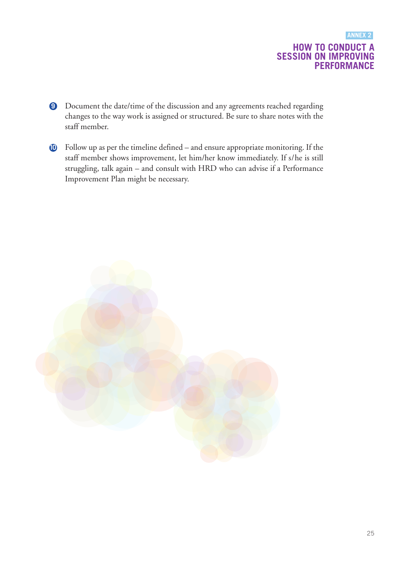### **HOW TO CONDUCT A SESSION ON IMPROVING PERFORMANCE ANNEX 2**

- **9** Document the date/time of the discussion and any agreements reached regarding changes to the way work is assigned or structured. Be sure to share notes with the staff member.
- **10** Follow up as per the timeline defined and ensure appropriate monitoring. If the staff member shows improvement, let him/her know immediately. If s/he is still struggling, talk again – and consult with HRD who can advise if a Performance Improvement Plan might be necessary.

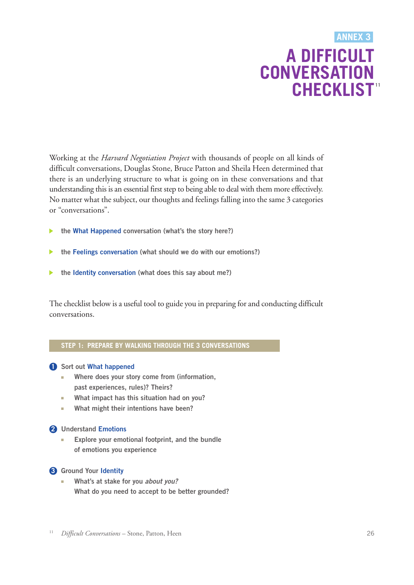### **A DIFFICULT CONVERSATION CHECKLIST 11 ANNEX 3**

<span id="page-25-0"></span>Working at the *Harvard Negotiation Project* with thousands of people on all kinds of difficult conversations, Douglas Stone, Bruce Patton and Sheila Heen determined that there is an underlying structure to what is going on in these conversations and that understanding this is an essential first step to being able to deal with them more effectively. No matter what the subject, our thoughts and feelings falling into the same 3 categories or "conversations".

- **the What Happened conversation (what's the story here?)**
- **the Feelings conversation (what should we do with our emotions?)**
- **the Identity conversation (what does this say about me?)**

The checklist below is a useful tool to guide you in preparing for and conducting difficult conversations.

### **STEP 1: PREPARE BY WALKING THROUGH THE 3 CONVERSATIONS**

### **1 Sort out What happened**

- **■ Where does your story come from (information, past experiences, rules)? Theirs?**
- **■ What impact has this situation had on you?**
- **■ What might their intentions have been?**

### **2 Understand Emotions**

**■ Explore your emotional footprint, and the bundle of emotions you experience**

### **3 Ground Your Identity**

**■ What's at stake for you** *about you?* **What do you need to accept to be better grounded?**

11 *Difficult Conversations* – Stone, Patton, Heen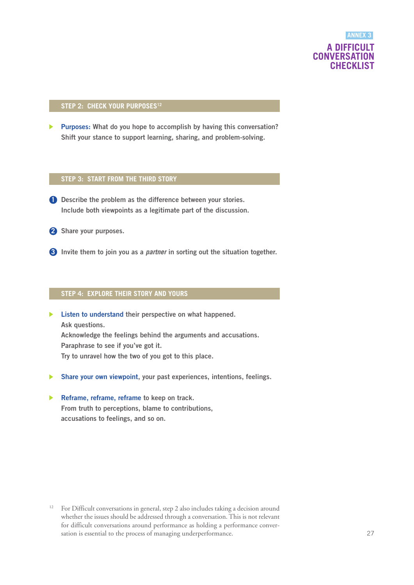### **A DIFFICULT CONVERSATION CHECKLIST ANNEX 3**

#### **STEP 2: CHECK YOUR PURPOSES12**

**Purposes: What do you hope to accomplish by having this conversation? Shift your stance to support learning, sharing, and problem-solving.**

#### **STEP 3: START FROM THE THIRD STORY**

- **1 Describe the problem as the difference between your stories. Include both viewpoints as a legitimate part of the discussion.**
- **2 Share your purposes.**
- **3 Invite them to join you as a** *partner* **in sorting out the situation together.**

### **STEP 4: EXPLORE THEIR STORY AND YOURS**

- **Listen to understand their perspective on what happened. Ask questions. Acknowledge the feelings behind the arguments and accusations. Paraphrase to see if you've got it. Try to unravel how the two of you got to this place.**
- **Share your own viewpoint, your past experiences, intentions, feelings.**
- **Reframe, reframe, reframe to keep on track.**  $\blacktriangleright$ **From truth to perceptions, blame to contributions, accusations to feelings, and so on.**

<sup>&</sup>lt;sup>12</sup> For Difficult conversations in general, step 2 also includes taking a decision around whether the issues should be addressed through a conversation. This is not relevant for difficult conversations around performance as holding a performance conversation is essential to the process of managing underperformance.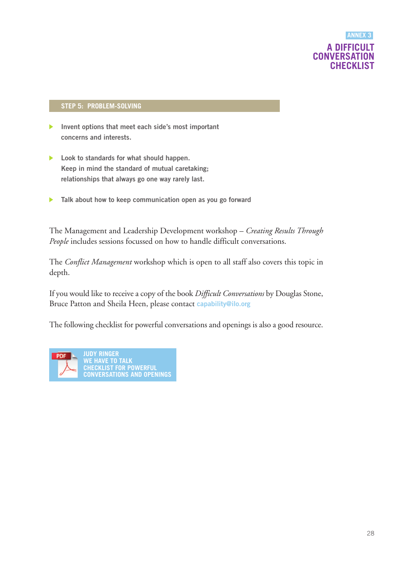### **A DIFFICULT CONVERSATION CHECKLIST ANNEX 3**

### **STEP 5: PROBLEM-SOLVING**

- **Invent options that meet each side's most important**  $\blacktriangleright$ **concerns and interests.**
- **Look to standards for what should happen.**  $\blacktriangleright$ **Keep in mind the standard of mutual caretaking; relationships that always go one way rarely last.**
- **Talk about how to keep communication open as you go forward**  $\blacktriangleright$

The Management and Leadership Development workshop – *Creating Results Through People* includes sessions focussed on how to handle difficult conversations.

The *Conflict Management* workshop which is open to all staff also covers this topic in depth.

If you would like to receive a copy of the book *Difficult Conversations* by Douglas Stone, Bruce Patton and Sheila Heen, please contact **[capability@ilo.org](mailto:capability@ilo.org)**

The following checklist for powerful conversations and openings is also a good resource.

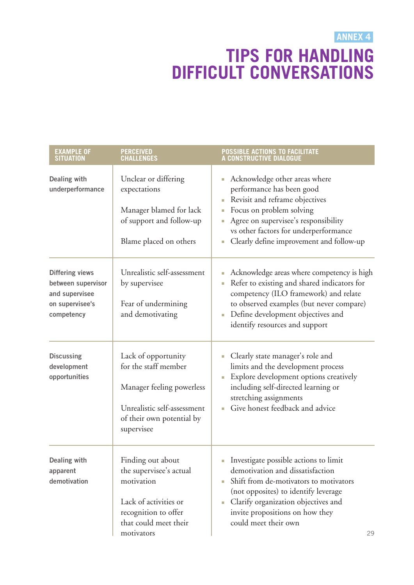**ANNEX 4**

# **TIPS FOR HANDLING DIFFICULT CONVERSATIONS**

<span id="page-28-0"></span>

| <b>EXAMPLE OF</b><br><b>SITUATION</b>                                                           | <b>PERCEIVED</b><br><b>CHALLENGES</b>                                                                                                              | <b>POSSIBLE ACTIONS TO FACILITATE</b><br>A CONSTRUCTIVE DIALOGUE                                                                                                                                                                                                                                 |
|-------------------------------------------------------------------------------------------------|----------------------------------------------------------------------------------------------------------------------------------------------------|--------------------------------------------------------------------------------------------------------------------------------------------------------------------------------------------------------------------------------------------------------------------------------------------------|
| <b>Dealing with</b><br>underperformance                                                         | Unclear or differing<br>expectations<br>Manager blamed for lack<br>of support and follow-up<br>Blame placed on others                              | Acknowledge other areas where<br>$\mathcal{L}_{\mathcal{A}}$<br>performance has been good<br>Revisit and reframe objectives<br>Focus on problem solving<br>Agree on supervisee's responsibility<br>vs other factors for underperformance<br>Clearly define improvement and follow-up<br>L.       |
| <b>Differing views</b><br>between supervisor<br>and supervisee<br>on supervisee's<br>competency | Unrealistic self-assessment<br>by supervisee<br>Fear of undermining<br>and demotivating                                                            | Acknowledge areas where competency is high<br>J.<br>Refer to existing and shared indicators for<br>L.<br>competency (ILO framework) and relate<br>to observed examples (but never compare)<br>Define development objectives and<br>$\mathcal{L}_{\mathcal{A}}$<br>identify resources and support |
| <b>Discussing</b><br>development<br>opportunities                                               | Lack of opportunity<br>for the staff member<br>Manager feeling powerless<br>Unrealistic self-assessment<br>of their own potential by<br>supervisee | Clearly state manager's role and<br>$\overline{\phantom{a}}$<br>limits and the development process<br>Explore development options creatively<br>including self-directed learning or<br>stretching assignments<br>Give honest feedback and advice                                                 |
| <b>Dealing with</b><br>apparent<br>demotivation                                                 | Finding out about<br>the supervisee's actual<br>motivation<br>Lack of activities or<br>recognition to offer<br>that could meet their<br>motivators | Investigate possible actions to limit<br>demotivation and dissatisfaction<br>Shift from de-motivators to motivators<br>(not opposites) to identify leverage<br>Clarify organization objectives and<br>a.<br>invite propositions on how they<br>could meet their own<br>29                        |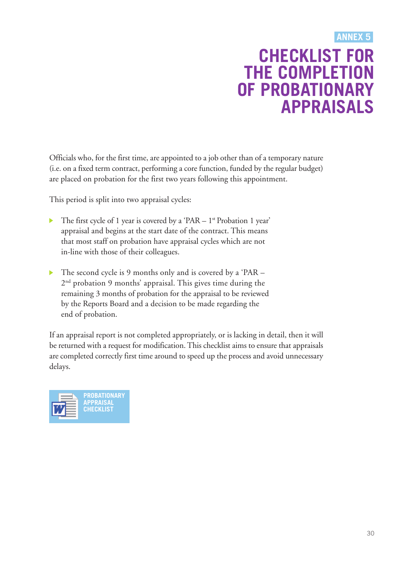### **CHECKLIST FOR THE COMPLETION OF PROBATIONARY APPRAISALS ANNEX 5**

<span id="page-29-0"></span>Officials who, for the first time, are appointed to a job other than of a temporary nature (i.e. on a fixed term contract, performing a core function, funded by the regular budget) are placed on probation for the first two years following this appointment.

This period is split into two appraisal cycles:

- $\blacktriangleright$ The first cycle of 1 year is covered by a 'PAR  $-1$ <sup>st</sup> Probation 1 year' appraisal and begins at the start date of the contract. This means that most staff on probation have appraisal cycles which are not in-line with those of their colleagues.
- $\blacktriangleright$ The second cycle is 9 months only and is covered by a 'PAR – 2<sup>nd</sup> probation 9 months' appraisal. This gives time during the remaining 3 months of probation for the appraisal to be reviewed by the Reports Board and a decision to be made regarding the end of probation.

If an appraisal report is not completed appropriately, or is lacking in detail, then it will be returned with a request for modification.This checklist aims to ensure that appraisals are completed correctly first time around to speed up the process and avoid unnecessary delays.

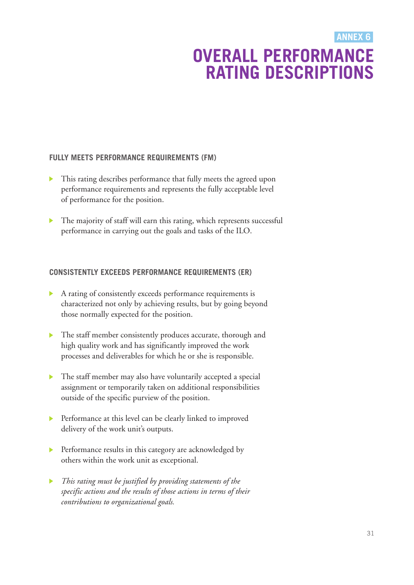### **OVERALL PERFORMANCE RATING DESCRIPTIONS ANNEX 6**

### <span id="page-30-0"></span>**FULLY MEETS PERFORMANCE REQUIREMENTS (FM)**

- This rating describes performance that fully meets the agreed upon performance requirements and represents the fully acceptable level of performance for the position.
- The majority of staff will earn this rating, which represents successful  $\blacktriangleright$ performance in carrying out the goals and tasks of the ILO.

### **CONSISTENTLY EXCEEDS PERFORMANCE REQUIREMENTS (ER)**

- A rating of consistently exceeds performance requirements is characterized not only by achieving results, but by going beyond those normally expected for the position.
- The staff member consistently produces accurate, thorough and high quality work and has significantly improved the work processes and deliverables for which he or she is responsible.
- The staff member may also have voluntarily accepted a special assignment or temporarily taken on additional responsibilities outside of the specific purview of the position.
- **Performance at this level can be clearly linked to improved** delivery of the work unit's outputs.
- Performance results in this category are acknowledged by  $\blacktriangleright$  . others within the work unit as exceptional.
- *This rating must be justified by providing statements of the*  $\blacktriangleright$ *specific actions and the results of those actions in terms of their contributions to organizational goals.*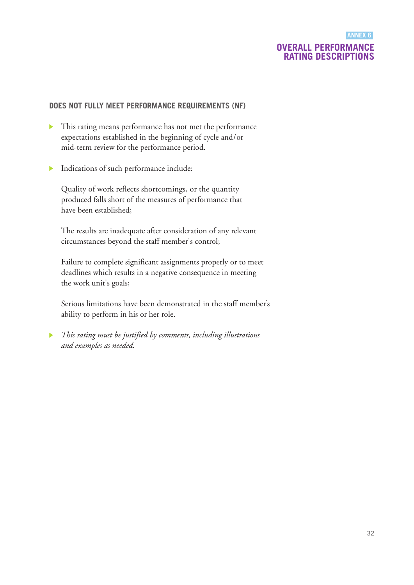### **OVERALL PERFORMANCE RATING DESCRIPTIONS ANNEX 6**

### **DOES NOT FULLY MEET PERFORMANCE REQUIREMENTS (NF)**

- This rating means performance has not met the performance expectations established in the beginning of cycle and/or mid-term review for the performance period.
- Indications of such performance include:  $\mathbf{b}$

Quality of work reflects shortcomings, or the quantity produced falls short of the measures of performance that have been established;

The results are inadequate after consideration of any relevant circumstances beyond the staff member's control;

Failure to complete significant assignments properly or to meet deadlines which results in a negative consequence in meeting the work unit's goals;

Serious limitations have been demonstrated in the staff member's ability to perform in his or her role.

*This rating must be justified by comments, including illustrations*  $\blacktriangleright$ *and examples as needed.*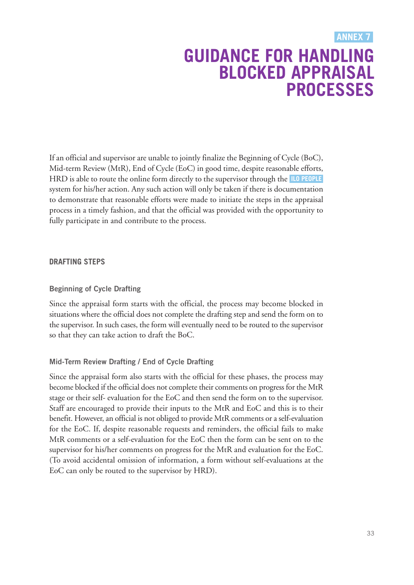### **GUIDANCE FOR HANDLING BLOCKED APPRAISAL PROCESSES ANNEX 7**

<span id="page-32-0"></span>If an official and supervisor are unable to jointly finalize the Beginning of Cycle (BoC), Mid-term Review (MtR), End of Cycle (EoC) in good time, despite reasonable efforts, HRD is able to route the online form directly to the supervisor through the **ILO [PEOPLE](https://performancemanager5.successfactors.eu/login?company=ILO)** system for his/her action. Any such action will only be taken if there is documentation to demonstrate that reasonable efforts were made to initiate the steps in the appraisal process in a timely fashion, and that the official was provided with the opportunity to fully participate in and contribute to the process.

### **DRAFTING STEPS**

### **Beginning of Cycle Drafting**

Since the appraisal form starts with the official, the process may become blocked in situations where the official does not complete the drafting step and send the form on to the supervisor. In such cases, the form will eventually need to be routed to the supervisor so that they can take action to draft the BoC.

### **Mid-Term Review Drafting / End of Cycle Drafting**

Since the appraisal form also starts with the official for these phases, the process may become blocked if the official does not complete their comments on progress for the MtR stage or their self- evaluation for the EoC and then send the form on to the supervisor. Staff are encouraged to provide their inputs to the MtR and EoC and this is to their benefit. However, an official is not obliged to provide MtR comments or a self-evaluation for the EoC. If, despite reasonable requests and reminders, the official fails to make MtR comments or a self-evaluation for the EoC then the form can be sent on to the supervisor for his/her comments on progress for the MtR and evaluation for the EoC. (To avoid accidental omission of information, a form without self-evaluations at the EoC can only be routed to the supervisor by HRD).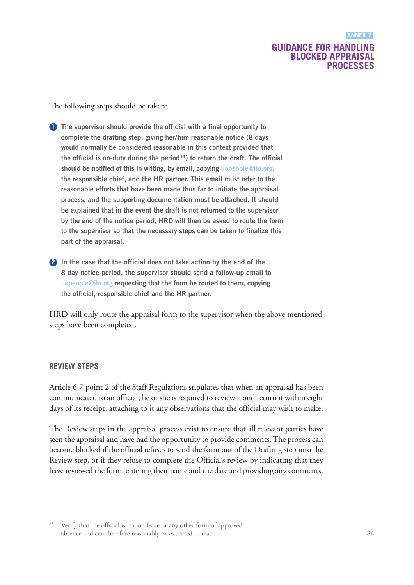### **GUIDANCE FOR HANDLING BLOCKED APPRAISAL PROCESSES**

The following steps should be taken:

- **1 The supervisor should provide the official with a final opportunity to complete the drafting step, giving her/him reasonable notice (8 days would normally be considered reasonable in this context provided that the official is on-duty during the period13) to return the draft. The official should be notified of this in writing, by email, copying [ilopeople@ilo.org](mailto:ilopeople@ilo.org), the responsible chief, and the HR partner. This email must refer to the reasonable efforts that have been made thus far to initiate the appraisal process, and the supporting documentation must be attached. It should be explained that in the event the draft is not returned to the supervisor by the end of the notice period, HRD will then be asked to route the form to the supervisor so that the necessary steps can be taken to finalize this part of the appraisal.**
- **2 In the case that the official does not take action by the end of the 8 day notice period, the supervisor should send a follow-up email to [ilopeople@ilo.org](mailto:ilopeople@ilo.org) requesting that the form be routed to them, copying the official, responsible chief and the HR partner.**

HRD will only route the appraisal form to the supervisor when the above mentioned steps have been completed.

### **REVIEW STEPS**

Article 6.7 point 2 of the Staff Regulations stipulates that when an appraisal has been communicated to an official, he or she is required to review it and return it within eight days of its receipt, attaching to it any observations that the official may wish to make.

The Review steps in the appraisal process exist to ensure that all relevant parties have seen the appraisal and have had the opportunity to provide comments.The process can become blocked if the official refuses to send the form out of the Drafting step into the Review step, or if they refuse to complete the Official's review by indicating that they have reviewed the form, entering their name and the date and providing any comments.

<sup>13</sup> Verify that the official is not on leave or any other form of approved absence and can therefore reasonably be expected to react.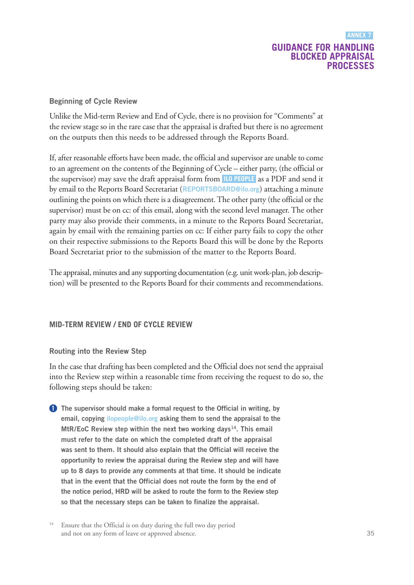### **GUIDANCE FOR HANDLING BLOCKED APPRAISAL PROCESSES ANNEX 7**

### **Beginning of Cycle Review**

Unlike the Mid-term Review and End of Cycle, there is no provision for "Comments" at the review stage so in the rare case that the appraisal is drafted but there is no agreement on the outputs then this needs to be addressed through the Reports Board.

If, after reasonable efforts have been made, the official and supervisor are unable to come to an agreement on the contents of the Beginning of Cycle – either party, (the official or the supervisor) may save the draft appraisal form from **ILO [PEOPLE](https://performancemanager5.successfactors.eu/login?company=ILO)** as a PDF and send it by email to the Reports Board Secretariat (**[REPORTSBOARD@ilo.org](mailto:REPORTSBOARD@ilo.org)**) attaching a minute outlining the points on which thereis a disagreement.The other party (the official or the supervisor) must be on cc: of this email, along with the second level manager. The other party may also provide their comments, in a minute to the Reports Board Secretariat, again by email with the remaining parties on cc: If either party fails to copy the other on their respective submissions to the Reports Board this will be done by the Reports Board Secretariat prior to the submission of the matter to the Reports Board.

The appraisal, minutes and any supporting documentation (e.g. unit work-plan, job description) will be presented to the Reports Board for their comments and recommendations.

### **MID-TERM REVIEW / END OF CYCLE REVIEW**

### **Routing into the Review Step**

In the case that drafting has been completed and the Official does not send the appraisal into the Review step within a reasonable time from receiving the request to do so, the following steps should be taken:

- **1 The supervisor should make a formal request to the Official in writing, by email, copying [ilopeople@ilo.org](mailto:ilopeople@ilo.org) asking them to send the appraisal to the MtR/EoC Review step within the next two working days14. This email must refer to the date on which the completed draft of the appraisal was sent to them. It should also explain that the Official will receive the opportunity to review the appraisal during the Review step and will have up to 8 days to provide any comments at that time. It should be indicate that in the event that the Official does not route the form by the end of the notice period, HRD will be asked to route the form to the Review step so that the necessary steps can be taken to finalize the appraisal.**
- <sup>14</sup> Ensure that the Official is on duty during the full two day period and not on any form of leave or approved absence.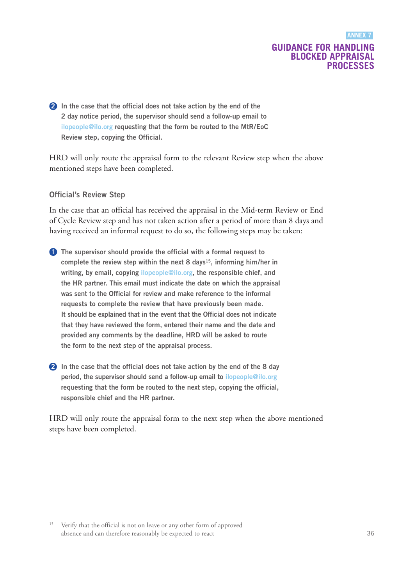### **GUIDANCE FOR HANDLING BLOCKED APPRAISAL PROCESSES**

**2 In the case that the official does not take action by the end of the 2 day notice period, the supervisor should send a follow-up email to [ilopeople@ilo.org](mailto:ilopeople@ilo.org) requesting that the form be routed to the MtR/EoC Review step, copying the Official.**

HRD will only route the appraisal form to the relevant Review step when the above mentioned steps have been completed.

#### **Official's Review Step**

In the case that an official has received the appraisal in the Mid-term Review or End of Cycle Review step and has not taken action after a period of more than 8 days and having received an informal request to do so, the following steps may be taken:

- **1 The supervisor should provide the official with a formal request to complete the review step within the next 8 days15, informing him/her in writing, by email, copying [ilopeople@ilo.org,](mailto:ilopeople@ilo.org) the responsible chief, and the HR partner. This email must indicate the date on which the appraisal was sent to the Official for review and make reference to the informal requests to complete the review that have previously been made. It should be explained that in the event that the Official does not indicate that they have reviewed the form, entered their name and the date and provided any comments by the deadline, HRD will be asked to route the form to the next step of the appraisal process.**
- **2 In the case that the official does not take action by the end of the 8 day period, the supervisor should send a follow-up email to [ilopeople@ilo.org](mailto:ilopeople@ilo.org) requesting that the form be routed to the next step, copying the official, responsible chief and the HR partner.**

HRD will only route the appraisal form to the next step when the above mentioned steps have been completed.

<sup>&</sup>lt;sup>15</sup> Verify that the official is not on leave or any other form of approved absence and can therefore reasonably be expected to react